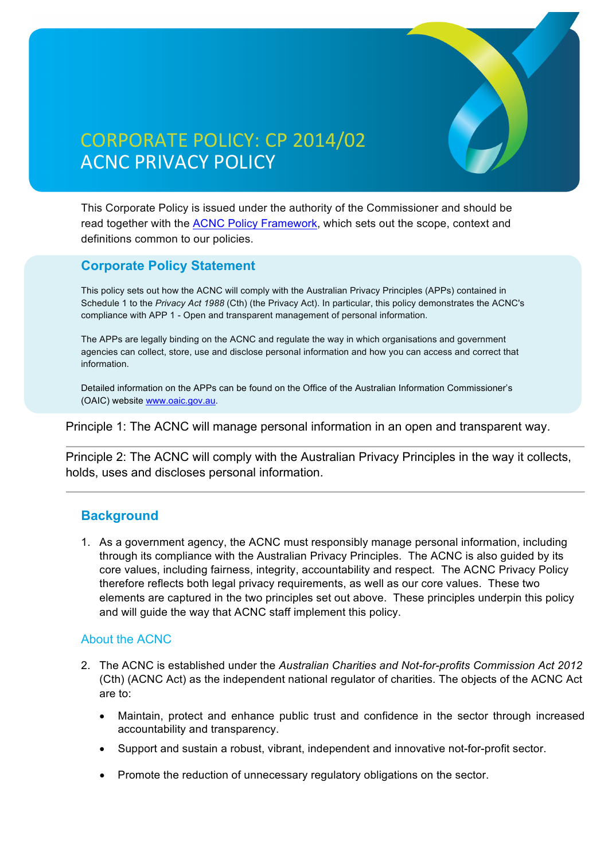

# **CORPORATE POLICY: CP 2014/02 ACNC PRIVACY POLICY**

This Corporate Policy is issued under the authority of the Commissioner and should be read together with the ACNC Policy Framework, which sets out the scope, context and definitions common to our policies.

## **Corporate Policy Statement**

This policy sets out how the ACNC will comply with the Australian Privacy Principles (APPs) contained in Schedule 1 to the *Privacy Act 1988* (Cth) (the Privacy Act). In particular, this policy demonstrates the ACNC's compliance with APP 1 - Open and transparent management of personal information.

The APPs are legally binding on the ACNC and regulate the way in which organisations and government agencies can collect, store, use and disclose personal information and how you can access and correct that information.

Detailed information on the APPs can be found on the Office of the Australian Information Commissioner's (OAIC) website www.oaic.gov.au.

Principle 1: The ACNC will manage personal information in an open and transparent way.

Principle 2: The ACNC will comply with the Australian Privacy Principles in the way it collects, holds, uses and discloses personal information.

## **Background**

1. As a government agency, the ACNC must responsibly manage personal information, including through its compliance with the Australian Privacy Principles. The ACNC is also guided by its core values, including fairness, integrity, accountability and respect. The ACNC Privacy Policy therefore reflects both legal privacy requirements, as well as our core values. These two elements are captured in the two principles set out above. These principles underpin this policy and will guide the way that ACNC staff implement this policy.

## About the ACNC

- 2. The ACNC is established under the *Australian Charities and Not-for-profits Commission Act 2012* (Cth) (ACNC Act) as the independent national regulator of charities. The objects of the ACNC Act are to:
	- Maintain, protect and enhance public trust and confidence in the sector through increased accountability and transparency.
	- Support and sustain a robust, vibrant, independent and innovative not-for-profit sector.
	- Promote the reduction of unnecessary regulatory obligations on the sector.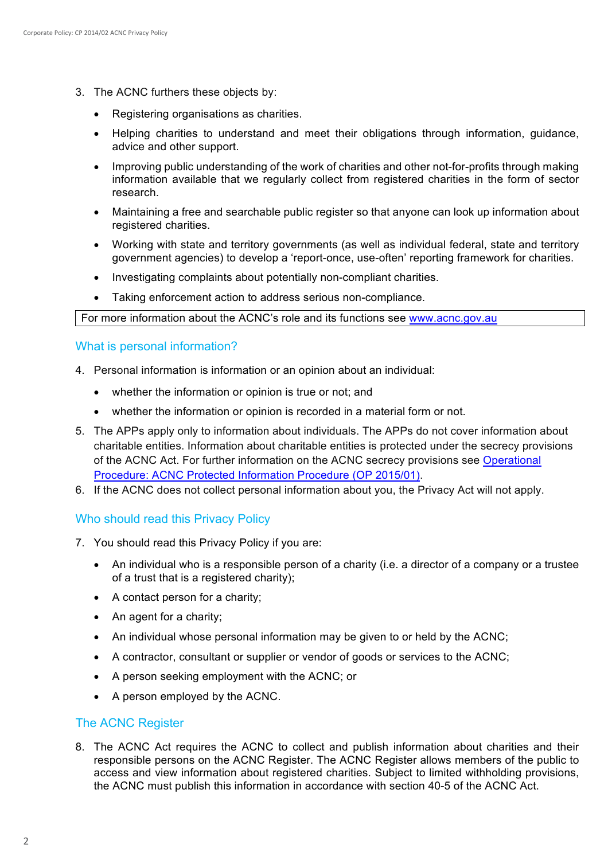- 3. The ACNC furthers these objects by:
	- Registering organisations as charities.
	- Helping charities to understand and meet their obligations through information, guidance, advice and other support.
	- Improving public understanding of the work of charities and other not-for-profits through making information available that we regularly collect from registered charities in the form of sector research.
	- Maintaining a free and searchable public register so that anyone can look up information about registered charities.
	- Working with state and territory governments (as well as individual federal, state and territory government agencies) to develop a 'report-once, use-often' reporting framework for charities.
	- Investigating complaints about potentially non-compliant charities.
	- Taking enforcement action to address serious non-compliance.

For more information about the ACNC's role and its functions see www.acnc.gov.au

#### What is personal information?

- 4. Personal information is information or an opinion about an individual:
	- whether the information or opinion is true or not; and
	- whether the information or opinion is recorded in a material form or not.
- 5. The APPs apply only to information about individuals. The APPs do not cover information about charitable entities. Information about charitable entities is protected under the secrecy provisions of the ACNC Act. For further information on the ACNC secrecy provisions see Operational Procedure: ACNC Protected Information Procedure (OP 2015/01).
- 6. If the ACNC does not collect personal information about you, the Privacy Act will not apply.

#### Who should read this Privacy Policy

- 7. You should read this Privacy Policy if you are:
	- An individual who is a responsible person of a charity (i.e. a director of a company or a trustee of a trust that is a registered charity);
	- A contact person for a charity;
	- An agent for a charity;
	- An individual whose personal information may be given to or held by the ACNC;
	- A contractor, consultant or supplier or vendor of goods or services to the ACNC;
	- A person seeking employment with the ACNC; or
	- A person employed by the ACNC.

#### The ACNC Register

8. The ACNC Act requires the ACNC to collect and publish information about charities and their responsible persons on the ACNC Register. The ACNC Register allows members of the public to access and view information about registered charities. Subject to limited withholding provisions, the ACNC must publish this information in accordance with section 40-5 of the ACNC Act.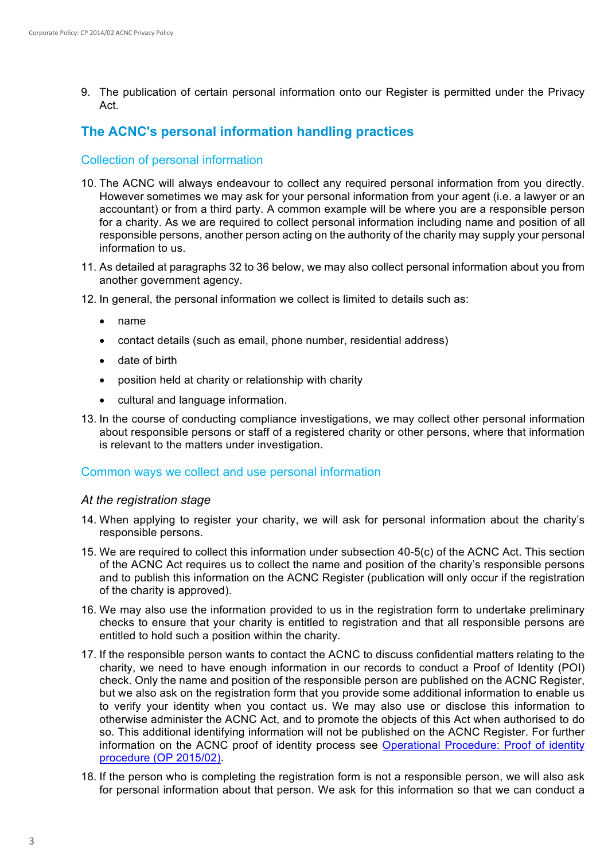9. The publication of certain personal information onto our Register is permitted under the Privacy Act.

## **The ACNC's personal information handling practices**

#### Collection of personal information

- 10. The ACNC will always endeavour to collect any required personal information from you directly. However sometimes we may ask for your personal information from your agent (i.e. a lawyer or an accountant) or from a third party. A common example will be where you are a responsible person for a charity. As we are required to collect personal information including name and position of all responsible persons, another person acting on the authority of the charity may supply your personal information to us.
- 11. As detailed at paragraphs 32 to 36 below, we may also collect personal information about you from another government agency.
- 12. In general, the personal information we collect is limited to details such as:
	- name
	- contact details (such as email, phone number, residential address)
	- date of birth
	- position held at charity or relationship with charity
	- cultural and language information.
- 13. In the course of conducting compliance investigations, we may collect other personal information about responsible persons or staff of a registered charity or other persons, where that information is relevant to the matters under investigation.

#### Common ways we collect and use personal information

#### *At the registration stage*

- 14. When applying to register your charity, we will ask for personal information about the charity's responsible persons.
- 15. We are required to collect this information under subsection 40-5(c) of the ACNC Act. This section of the ACNC Act requires us to collect the name and position of the charity's responsible persons and to publish this information on the ACNC Register (publication will only occur if the registration of the charity is approved).
- 16. We may also use the information provided to us in the registration form to undertake preliminary checks to ensure that your charity is entitled to registration and that all responsible persons are entitled to hold such a position within the charity.
- 17. If the responsible person wants to contact the ACNC to discuss confidential matters relating to the charity, we need to have enough information in our records to conduct a Proof of Identity (POI) check. Only the name and position of the responsible person are published on the ACNC Register, but we also ask on the registration form that you provide some additional information to enable us to verify your identity when you contact us. We may also use or disclose this information to otherwise administer the ACNC Act, and to promote the objects of this Act when authorised to do so. This additional identifying information will not be published on the ACNC Register. For further information on the ACNC proof of identity process see Operational Procedure: Proof of identity procedure (OP 2015/02).
- 18. If the person who is completing the registration form is not a responsible person, we will also ask for personal information about that person. We ask for this information so that we can conduct a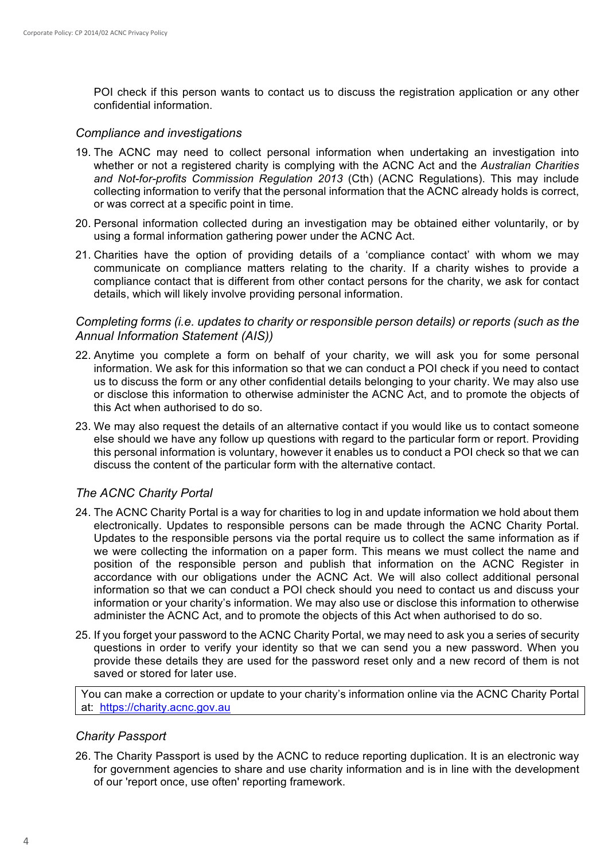POI check if this person wants to contact us to discuss the registration application or any other confidential information.

#### *Compliance and investigations*

- 19. The ACNC may need to collect personal information when undertaking an investigation into whether or not a registered charity is complying with the ACNC Act and the *Australian Charities and Not-for-profits Commission Regulation 2013* (Cth) (ACNC Regulations). This may include collecting information to verify that the personal information that the ACNC already holds is correct, or was correct at a specific point in time.
- 20. Personal information collected during an investigation may be obtained either voluntarily, or by using a formal information gathering power under the ACNC Act.
- 21. Charities have the option of providing details of a 'compliance contact' with whom we may communicate on compliance matters relating to the charity. If a charity wishes to provide a compliance contact that is different from other contact persons for the charity, we ask for contact details, which will likely involve providing personal information.

#### *Completing forms (i.e. updates to charity or responsible person details) or reports (such as the Annual Information Statement (AIS))*

- 22. Anytime you complete a form on behalf of your charity, we will ask you for some personal information. We ask for this information so that we can conduct a POI check if you need to contact us to discuss the form or any other confidential details belonging to your charity. We may also use or disclose this information to otherwise administer the ACNC Act, and to promote the objects of this Act when authorised to do so.
- 23. We may also request the details of an alternative contact if you would like us to contact someone else should we have any follow up questions with regard to the particular form or report. Providing this personal information is voluntary, however it enables us to conduct a POI check so that we can discuss the content of the particular form with the alternative contact.

#### *The ACNC Charity Portal*

- 24. The ACNC Charity Portal is a way for charities to log in and update information we hold about them electronically. Updates to responsible persons can be made through the ACNC Charity Portal. Updates to the responsible persons via the portal require us to collect the same information as if we were collecting the information on a paper form. This means we must collect the name and position of the responsible person and publish that information on the ACNC Register in accordance with our obligations under the ACNC Act. We will also collect additional personal information so that we can conduct a POI check should you need to contact us and discuss your information or your charity's information. We may also use or disclose this information to otherwise administer the ACNC Act, and to promote the objects of this Act when authorised to do so.
- 25. If you forget your password to the ACNC Charity Portal, we may need to ask you a series of security questions in order to verify your identity so that we can send you a new password. When you provide these details they are used for the password reset only and a new record of them is not saved or stored for later use.

You can make a correction or update to your charity's information online via the ACNC Charity Portal at: https://charity.acnc.gov.au

#### *Charity Passport*

26. The Charity Passport is used by the ACNC to reduce reporting duplication. It is an electronic way for government agencies to share and use charity information and is in line with the development of our 'report once, use often' reporting framework.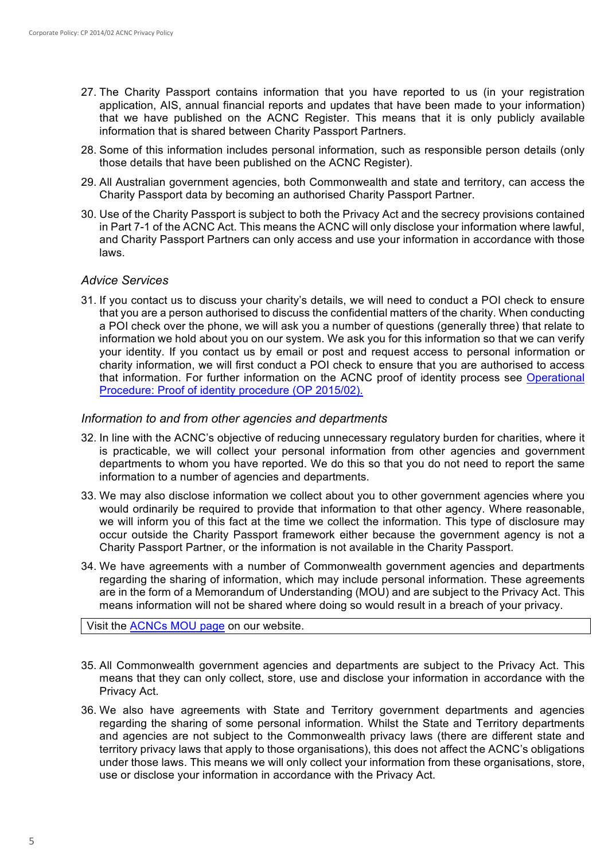- 27. The Charity Passport contains information that you have reported to us (in your registration application, AIS, annual financial reports and updates that have been made to your information) that we have published on the ACNC Register. This means that it is only publicly available information that is shared between Charity Passport Partners.
- 28. Some of this information includes personal information, such as responsible person details (only those details that have been published on the ACNC Register).
- 29. All Australian government agencies, both Commonwealth and state and territory, can access the Charity Passport data by becoming an authorised Charity Passport Partner.
- 30. Use of the Charity Passport is subject to both the Privacy Act and the secrecy provisions contained in Part 7-1 of the ACNC Act. This means the ACNC will only disclose your information where lawful, and Charity Passport Partners can only access and use your information in accordance with those laws.

#### *Advice Services*

31. If you contact us to discuss your charity's details, we will need to conduct a POI check to ensure that you are a person authorised to discuss the confidential matters of the charity. When conducting a POI check over the phone, we will ask you a number of questions (generally three) that relate to information we hold about you on our system. We ask you for this information so that we can verify your identity. If you contact us by email or post and request access to personal information or charity information, we will first conduct a POI check to ensure that you are authorised to access that information. For further information on the ACNC proof of identity process see Operational Procedure: Proof of identity procedure (OP 2015/02).

#### *Information to and from other agencies and departments*

- 32. In line with the ACNC's objective of reducing unnecessary regulatory burden for charities, where it is practicable, we will collect your personal information from other agencies and government departments to whom you have reported. We do this so that you do not need to report the same information to a number of agencies and departments.
- 33. We may also disclose information we collect about you to other government agencies where you would ordinarily be required to provide that information to that other agency. Where reasonable, we will inform you of this fact at the time we collect the information. This type of disclosure may occur outside the Charity Passport framework either because the government agency is not a Charity Passport Partner, or the information is not available in the Charity Passport.
- 34. We have agreements with a number of Commonwealth government agencies and departments regarding the sharing of information, which may include personal information. These agreements are in the form of a Memorandum of Understanding (MOU) and are subject to the Privacy Act. This means information will not be shared where doing so would result in a breach of your privacy.

Visit the ACNCs MOU page on our website.

- 35. All Commonwealth government agencies and departments are subject to the Privacy Act. This means that they can only collect, store, use and disclose your information in accordance with the Privacy Act.
- 36. We also have agreements with State and Territory government departments and agencies regarding the sharing of some personal information. Whilst the State and Territory departments and agencies are not subject to the Commonwealth privacy laws (there are different state and territory privacy laws that apply to those organisations), this does not affect the ACNC's obligations under those laws. This means we will only collect your information from these organisations, store, use or disclose your information in accordance with the Privacy Act.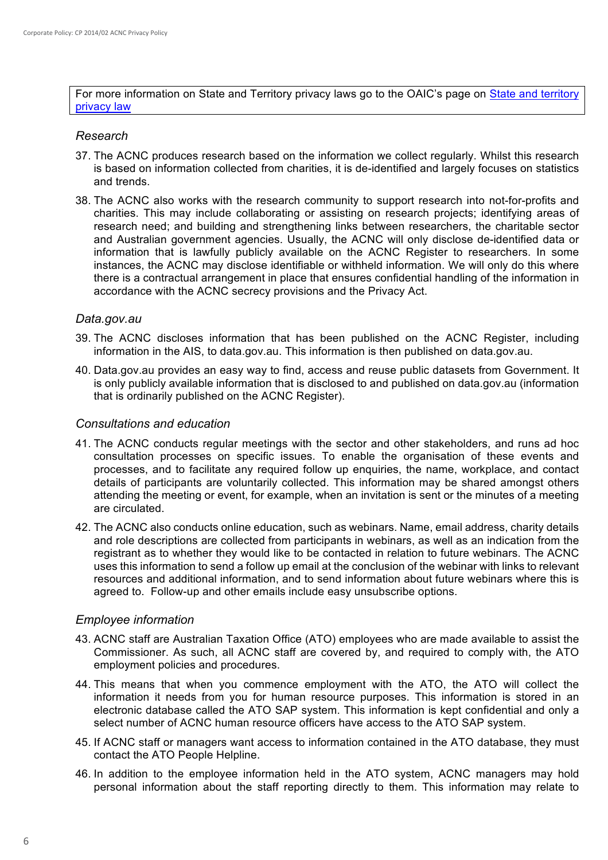For more information on State and Territory privacy laws go to the OAIC's page on State and territory privacy law

#### *Research*

- 37. The ACNC produces research based on the information we collect regularly. Whilst this research is based on information collected from charities, it is de-identified and largely focuses on statistics and trends.
- 38. The ACNC also works with the research community to support research into not-for-profits and charities. This may include collaborating or assisting on research projects; identifying areas of research need; and building and strengthening links between researchers, the charitable sector and Australian government agencies. Usually, the ACNC will only disclose de-identified data or information that is lawfully publicly available on the ACNC Register to researchers. In some instances, the ACNC may disclose identifiable or withheld information. We will only do this where there is a contractual arrangement in place that ensures confidential handling of the information in accordance with the ACNC secrecy provisions and the Privacy Act.

#### *Data.gov.au*

- 39. The ACNC discloses information that has been published on the ACNC Register, including information in the AIS, to data.gov.au. This information is then published on data.gov.au.
- 40. Data.gov.au provides an easy way to find, access and reuse public datasets from Government. It is only publicly available information that is disclosed to and published on data.gov.au (information that is ordinarily published on the ACNC Register).

#### *Consultations and education*

- 41. The ACNC conducts regular meetings with the sector and other stakeholders, and runs ad hoc consultation processes on specific issues. To enable the organisation of these events and processes, and to facilitate any required follow up enquiries, the name, workplace, and contact details of participants are voluntarily collected. This information may be shared amongst others attending the meeting or event, for example, when an invitation is sent or the minutes of a meeting are circulated.
- 42. The ACNC also conducts online education, such as webinars. Name, email address, charity details and role descriptions are collected from participants in webinars, as well as an indication from the registrant as to whether they would like to be contacted in relation to future webinars. The ACNC uses this information to send a follow up email at the conclusion of the webinar with links to relevant resources and additional information, and to send information about future webinars where this is agreed to. Follow-up and other emails include easy unsubscribe options.

#### *Employee information*

- 43. ACNC staff are Australian Taxation Office (ATO) employees who are made available to assist the Commissioner. As such, all ACNC staff are covered by, and required to comply with, the ATO employment policies and procedures.
- 44. This means that when you commence employment with the ATO, the ATO will collect the information it needs from you for human resource purposes. This information is stored in an electronic database called the ATO SAP system. This information is kept confidential and only a select number of ACNC human resource officers have access to the ATO SAP system.
- 45. If ACNC staff or managers want access to information contained in the ATO database, they must contact the ATO People Helpline.
- 46. In addition to the employee information held in the ATO system, ACNC managers may hold personal information about the staff reporting directly to them. This information may relate to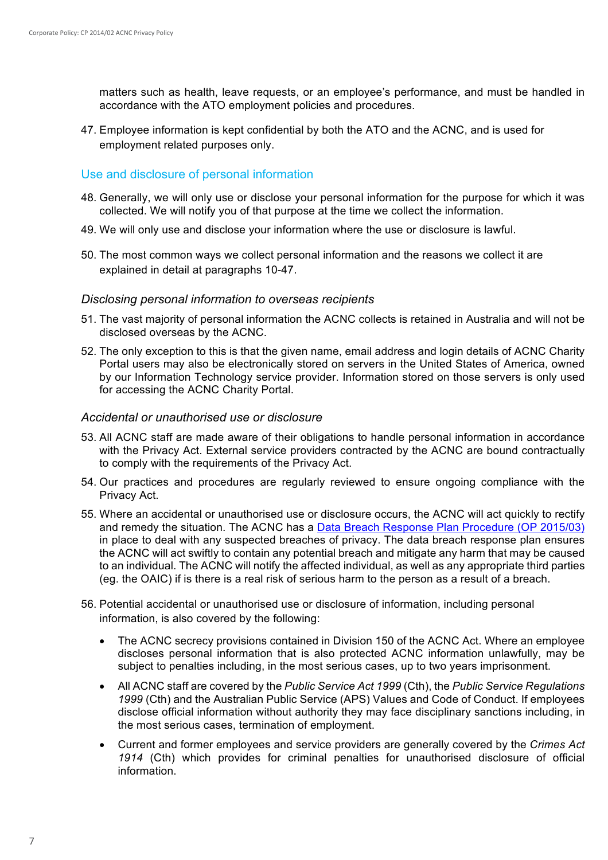matters such as health, leave requests, or an employee's performance, and must be handled in accordance with the ATO employment policies and procedures.

47. Employee information is kept confidential by both the ATO and the ACNC, and is used for employment related purposes only.

#### Use and disclosure of personal information

- 48. Generally, we will only use or disclose your personal information for the purpose for which it was collected. We will notify you of that purpose at the time we collect the information.
- 49. We will only use and disclose your information where the use or disclosure is lawful.
- 50. The most common ways we collect personal information and the reasons we collect it are explained in detail at paragraphs 10-47.

#### *Disclosing personal information to overseas recipients*

- 51. The vast majority of personal information the ACNC collects is retained in Australia and will not be disclosed overseas by the ACNC.
- 52. The only exception to this is that the given name, email address and login details of ACNC Charity Portal users may also be electronically stored on servers in the United States of America, owned by our Information Technology service provider. Information stored on those servers is only used for accessing the ACNC Charity Portal.

#### *Accidental or unauthorised use or disclosure*

- 53. All ACNC staff are made aware of their obligations to handle personal information in accordance with the Privacy Act. External service providers contracted by the ACNC are bound contractually to comply with the requirements of the Privacy Act.
- 54. Our practices and procedures are regularly reviewed to ensure ongoing compliance with the Privacy Act.
- 55. Where an accidental or unauthorised use or disclosure occurs, the ACNC will act quickly to rectify and remedy the situation. The ACNC has a Data Breach Response Plan Procedure (OP 2015/03) in place to deal with any suspected breaches of privacy. The data breach response plan ensures the ACNC will act swiftly to contain any potential breach and mitigate any harm that may be caused to an individual. The ACNC will notify the affected individual, as well as any appropriate third parties (eg. the OAIC) if is there is a real risk of serious harm to the person as a result of a breach.
- 56. Potential accidental or unauthorised use or disclosure of information, including personal information, is also covered by the following:
	- The ACNC secrecy provisions contained in Division 150 of the ACNC Act. Where an employee discloses personal information that is also protected ACNC information unlawfully, may be subject to penalties including, in the most serious cases, up to two years imprisonment.
	- All ACNC staff are covered by the *Public Service Act 1999* (Cth), the *Public Service Regulations 1999* (Cth) and the Australian Public Service (APS) Values and Code of Conduct. If employees disclose official information without authority they may face disciplinary sanctions including, in the most serious cases, termination of employment.
	- Current and former employees and service providers are generally covered by the *Crimes Act 1914* (Cth) which provides for criminal penalties for unauthorised disclosure of official information.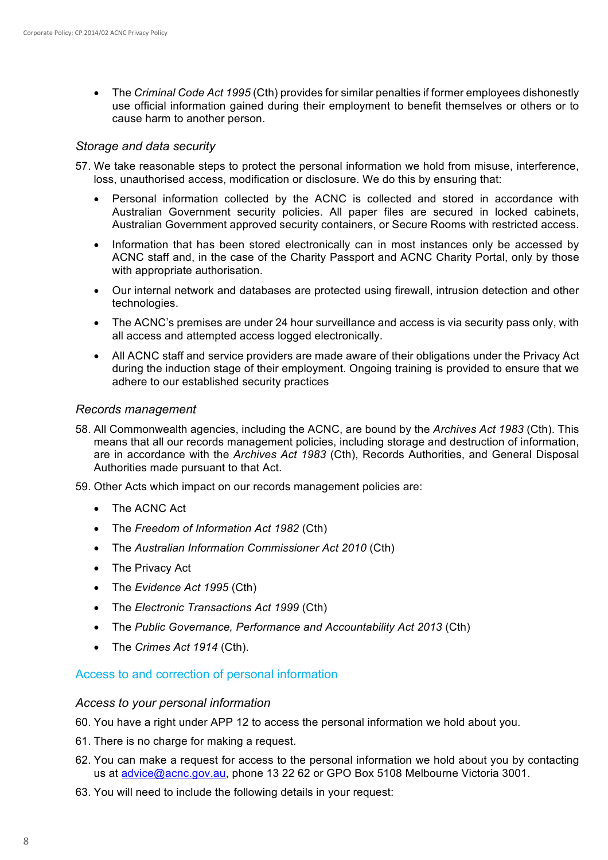• The *Criminal Code Act 1995* (Cth) provides for similar penalties if former employees dishonestly use official information gained during their employment to benefit themselves or others or to cause harm to another person.

#### *Storage and data security*

- 57. We take reasonable steps to protect the personal information we hold from misuse, interference, loss, unauthorised access, modification or disclosure. We do this by ensuring that:
	- Personal information collected by the ACNC is collected and stored in accordance with Australian Government security policies. All paper files are secured in locked cabinets, Australian Government approved security containers, or Secure Rooms with restricted access.
	- Information that has been stored electronically can in most instances only be accessed by ACNC staff and, in the case of the Charity Passport and ACNC Charity Portal, only by those with appropriate authorisation.
	- Our internal network and databases are protected using firewall, intrusion detection and other technologies.
	- The ACNC's premises are under 24 hour surveillance and access is via security pass only, with all access and attempted access logged electronically.
	- All ACNC staff and service providers are made aware of their obligations under the Privacy Act during the induction stage of their employment. Ongoing training is provided to ensure that we adhere to our established security practices

#### *Records management*

- 58. All Commonwealth agencies, including the ACNC, are bound by the *Archives Act 1983* (Cth). This means that all our records management policies, including storage and destruction of information, are in accordance with the *Archives Act 1983* (Cth), Records Authorities, and General Disposal Authorities made pursuant to that Act.
- 59. Other Acts which impact on our records management policies are:
	- The ACNC Act
	- The *Freedom of Information Act 1982* (Cth)
	- The *Australian Information Commissioner Act 2010* (Cth)
	- The Privacy Act
	- The *Evidence Act 1995* (Cth)
	- The *Electronic Transactions Act 1999* (Cth)
	- The *Public Governance, Performance and Accountability Act 2013* (Cth)
	- The *Crimes Act 1914* (Cth).

#### Access to and correction of personal information

#### *Access to your personal information*

- 60. You have a right under APP 12 to access the personal information we hold about you.
- 61. There is no charge for making a request.
- 62. You can make a request for access to the personal information we hold about you by contacting us at advice@acnc.gov.au, phone 13 22 62 or GPO Box 5108 Melbourne Victoria 3001.
- 63. You will need to include the following details in your request: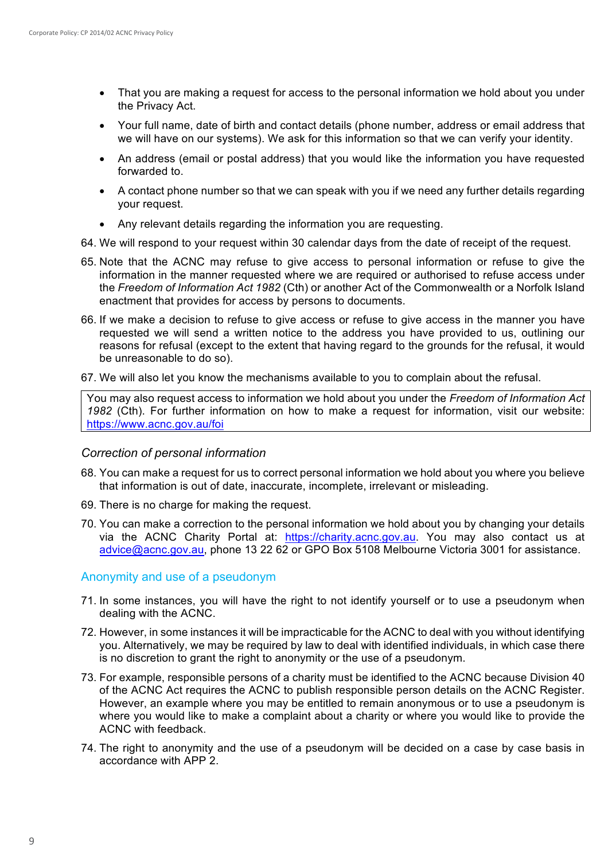- That you are making a request for access to the personal information we hold about you under the Privacy Act.
- Your full name, date of birth and contact details (phone number, address or email address that we will have on our systems). We ask for this information so that we can verify your identity.
- An address (email or postal address) that you would like the information you have requested forwarded to.
- A contact phone number so that we can speak with you if we need any further details regarding your request.
- Any relevant details regarding the information you are requesting.
- 64. We will respond to your request within 30 calendar days from the date of receipt of the request.
- 65. Note that the ACNC may refuse to give access to personal information or refuse to give the information in the manner requested where we are required or authorised to refuse access under the *Freedom of Information Act 1982* (Cth) or another Act of the Commonwealth or a Norfolk Island enactment that provides for access by persons to documents.
- 66. If we make a decision to refuse to give access or refuse to give access in the manner you have requested we will send a written notice to the address you have provided to us, outlining our reasons for refusal (except to the extent that having regard to the grounds for the refusal, it would be unreasonable to do so).
- 67. We will also let you know the mechanisms available to you to complain about the refusal.

You may also request access to information we hold about you under the *Freedom of Information Act 1982* (Cth). For further information on how to make a request for information, visit our website: https://www.acnc.gov.au/foi

#### *Correction of personal information*

- 68. You can make a request for us to correct personal information we hold about you where you believe that information is out of date, inaccurate, incomplete, irrelevant or misleading.
- 69. There is no charge for making the request.
- 70. You can make a correction to the personal information we hold about you by changing your details via the ACNC Charity Portal at: https://charity.acnc.gov.au. You may also contact us at advice@acnc.gov.au, phone 13 22 62 or GPO Box 5108 Melbourne Victoria 3001 for assistance.

#### Anonymity and use of a pseudonym

- 71. In some instances, you will have the right to not identify yourself or to use a pseudonym when dealing with the ACNC.
- 72. However, in some instances it will be impracticable for the ACNC to deal with you without identifying you. Alternatively, we may be required by law to deal with identified individuals, in which case there is no discretion to grant the right to anonymity or the use of a pseudonym.
- 73. For example, responsible persons of a charity must be identified to the ACNC because Division 40 of the ACNC Act requires the ACNC to publish responsible person details on the ACNC Register. However, an example where you may be entitled to remain anonymous or to use a pseudonym is where you would like to make a complaint about a charity or where you would like to provide the ACNC with feedback.
- 74. The right to anonymity and the use of a pseudonym will be decided on a case by case basis in accordance with APP 2.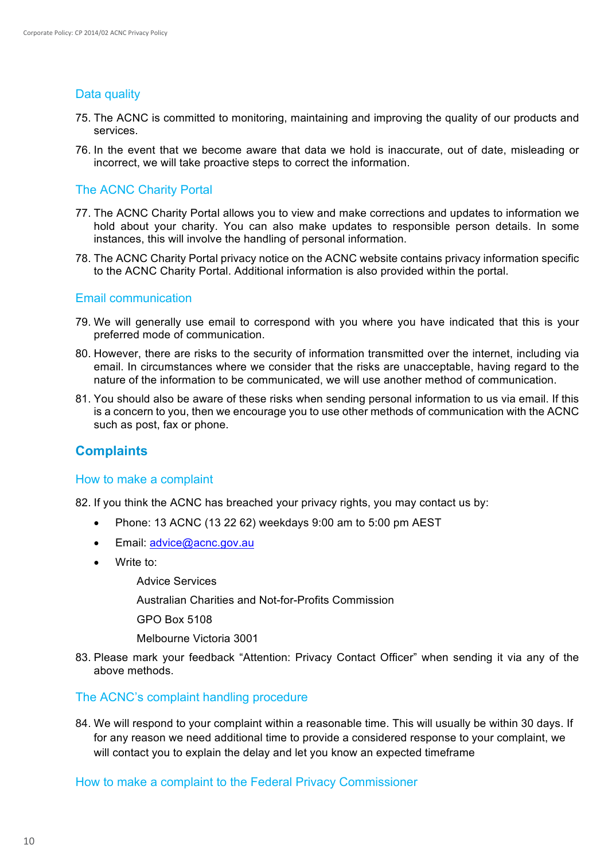## Data quality

- 75. The ACNC is committed to monitoring, maintaining and improving the quality of our products and services.
- 76. In the event that we become aware that data we hold is inaccurate, out of date, misleading or incorrect, we will take proactive steps to correct the information.

## The ACNC Charity Portal

- 77. The ACNC Charity Portal allows you to view and make corrections and updates to information we hold about your charity. You can also make updates to responsible person details. In some instances, this will involve the handling of personal information.
- 78. The ACNC Charity Portal privacy notice on the ACNC website contains privacy information specific to the ACNC Charity Portal. Additional information is also provided within the portal.

#### Email communication

- 79. We will generally use email to correspond with you where you have indicated that this is your preferred mode of communication.
- 80. However, there are risks to the security of information transmitted over the internet, including via email. In circumstances where we consider that the risks are unacceptable, having regard to the nature of the information to be communicated, we will use another method of communication.
- 81. You should also be aware of these risks when sending personal information to us via email. If this is a concern to you, then we encourage you to use other methods of communication with the ACNC such as post, fax or phone.

## **Complaints**

#### How to make a complaint

82. If you think the ACNC has breached your privacy rights, you may contact us by:

- Phone: 13 ACNC (13 22 62) weekdays 9:00 am to 5:00 pm AEST
- Email: advice@acnc.gov.au
- Write to:

Advice Services

Australian Charities and Not-for-Profits Commission

GPO Box 5108

Melbourne Victoria 3001

83. Please mark your feedback "Attention: Privacy Contact Officer" when sending it via any of the above methods.

#### The ACNC's complaint handling procedure

84. We will respond to your complaint within a reasonable time. This will usually be within 30 days. If for any reason we need additional time to provide a considered response to your complaint, we will contact you to explain the delay and let you know an expected timeframe

#### How to make a complaint to the Federal Privacy Commissioner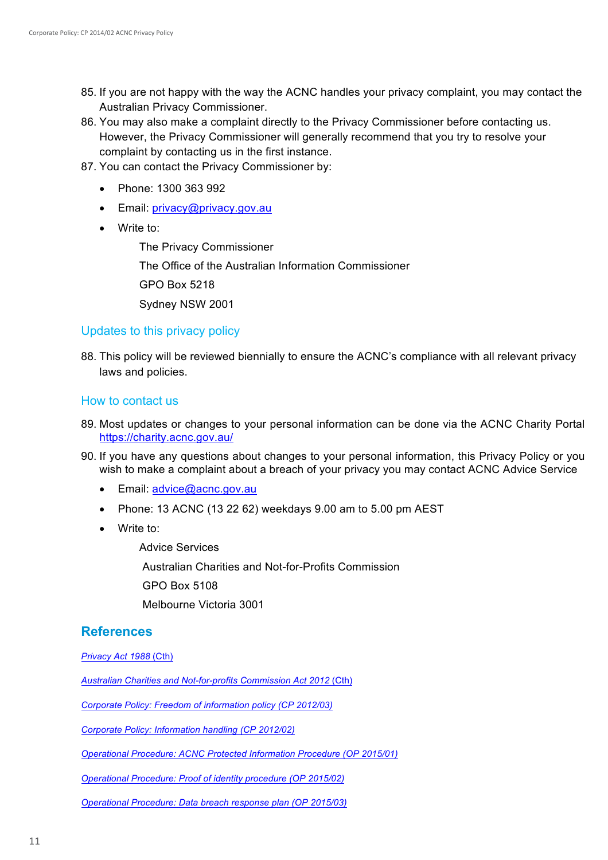- 85. If you are not happy with the way the ACNC handles your privacy complaint, you may contact the Australian Privacy Commissioner.
- 86. You may also make a complaint directly to the Privacy Commissioner before contacting us. However, the Privacy Commissioner will generally recommend that you try to resolve your complaint by contacting us in the first instance.
- 87. You can contact the Privacy Commissioner by:
	- Phone: 1300 363 992
	- Email: privacy@privacy.gov.au
	- Write to:

The Privacy Commissioner The Office of the Australian Information Commissioner GPO Box 5218 Sydney NSW 2001

## Updates to this privacy policy

88. This policy will be reviewed biennially to ensure the ACNC's compliance with all relevant privacy laws and policies.

#### How to contact us

- 89. Most updates or changes to your personal information can be done via the ACNC Charity Portal https://charity.acnc.gov.au/
- 90. If you have any questions about changes to your personal information, this Privacy Policy or you wish to make a complaint about a breach of your privacy you may contact ACNC Advice Service
	- Email: advice@acnc.gov.au
	- Phone: 13 ACNC (13 22 62) weekdays 9.00 am to 5.00 pm AEST
	- Write to:

Advice Services

Australian Charities and Not-for-Profits Commission

GPO Box 5108

Melbourne Victoria 3001

## **References**

*Privacy Act 1988* (Cth)

*Australian Charities and Not-for-profits Commission Act 2012* (Cth)

*Corporate Policy: Freedom of information policy (CP 2012/03)*

*Corporate Policy: Information handling (CP 2012/02)*

*Operational Procedure: ACNC Protected Information Procedure (OP 2015/01)*

*Operational Procedure: Proof of identity procedure (OP 2015/02)*

*Operational Procedure: Data breach response plan (OP 2015/03)*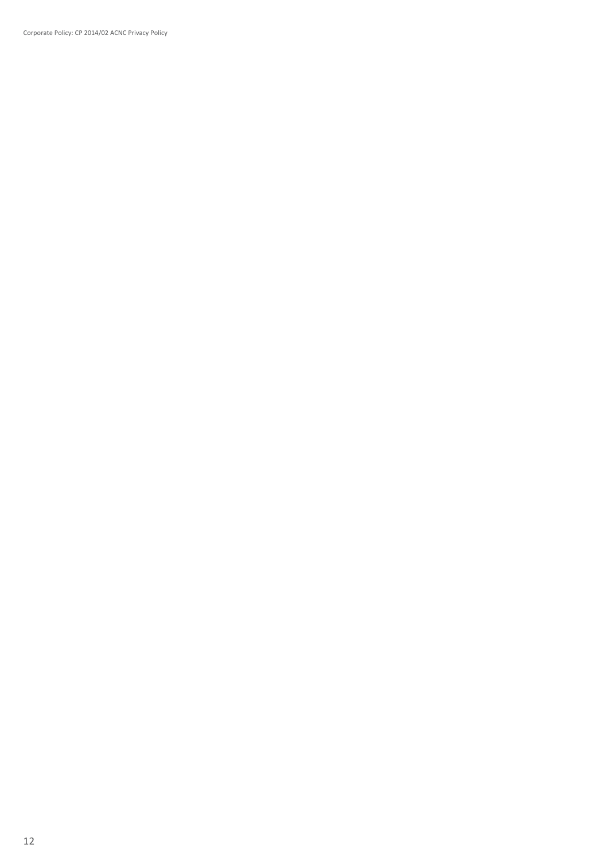Corporate Policy: CP 2014/02 ACNC Privacy Policy